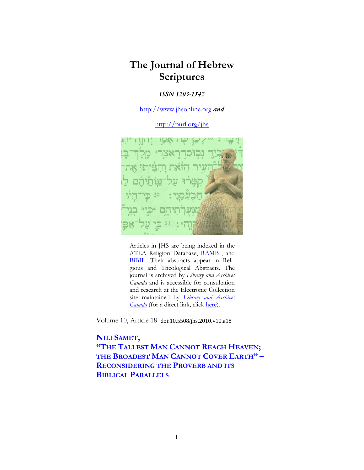# **The Journal of Hebrew Scriptures**

## *ISSN 1203-1542*

http://www.jhsonline.org *and*

http://purl.org/jhs



Articles in JHS are being indexed in the ATLA Religion Database, RAMBI, and BiBIL. Their abstracts appear in Religious and Theological Abstracts. The journal is archived by *Library and Archives Canada* and is accessible for consultation and research at the Electronic Collection site maintained by *Library and Archives Canada* (for a direct link, click here).

Volume 10, Article 18 doi:10.5508/jhs.2010.v10.a18

**NILI SAMET, "THE TALLEST MAN CANNOT REACH HEAVEN; THE BROADEST MAN CANNOT COVER EARTH" – RECONSIDERING THE PROVERB AND ITS BIBLICAL PARALLELS**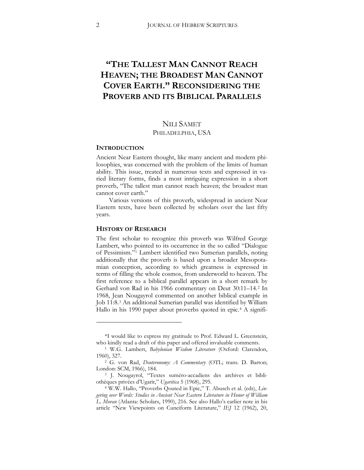# **"THE TALLEST MAN CANNOT REACH HEAVEN; THE BROADEST MAN CANNOT COVER EARTH." RECONSIDERING THE PROVERB AND ITS BIBLICAL PARALLELS**

# NILI SAMET

## PHILADELPHIA, USA

## **INTRODUCTION**

Ancient Near Eastern thought, like many ancient and modern philosophies, was concerned with the problem of the limits of human ability. This issue, treated in numerous texts and expressed in varied literary forms, finds a most intriguing expression in a short proverb, "The tallest man cannot reach heaven; the broadest man cannot cover earth."

Various versions of this proverb, widespread in ancient Near Eastern texts, have been collected by scholars over the last fifty years.

## **HISTORY OF RESEARCH**

 $\overline{a}$ 

The first scholar to recognize this proverb was Wilfred George Lambert, who pointed to its occurrence in the so called "Dialogue of Pessimism.["1](#page-1-0) Lambert identified two Sumerian parallels, noting additionally that the proverb is based upon a broader Mesopotamian conception, according to which greatness is expressed in terms of filling the whole cosmos, from underworld to heaven. The first reference to a biblical parallel appears in a short remark by Gerhard von Rad in his 1966 commentary on Deut 30:11–14.[2](#page-1-1) In 1968, Jean Nougayrol commented on another biblical example in Job 11:8.[3](#page-1-2) An additional Sumerian parallel was identified by William Hallo in his 1990 paper about proverbs quoted in epic.<sup>[4](#page-1-3)</sup> A signifi-

<span id="page-1-0"></span><sup>\*</sup>I would like to express my gratitude to Prof. Edward L. Greenstein, who kindly read a draft of this paper and offered invaluable comments. 1 W.G. Lambert, *Babylonian Wisdom Literature* (Oxford: Clarendon,

<sup>1960), 327.</sup>

<span id="page-1-1"></span><sup>&</sup>lt;sup>2</sup> G. von Rad, *Deuteronomy: A Commentary* (OTL; trans. D. Barton; London: SCM, 1966), 184.

<span id="page-1-2"></span><sup>3</sup> J. Nougayrol, "Textes suméro-accadiens des archives et bibliothèques privées d'Ugarit," *Ugaritica* 5 (1968), 295. 4 W.W. Hallo, "Proverbs Qouted in Epic," T. Abusch et al. (eds), *Lin-*

<span id="page-1-3"></span>*gering over Words: Studies in Ancient Near Eastern Literature in Honor of William L. Moran* (Atlanta: Scholars, 1990), 216. See also Hallo's earlier note in his article "New Viewpoints on Cuneiform Literature," *IEJ* 12 (1962), 20,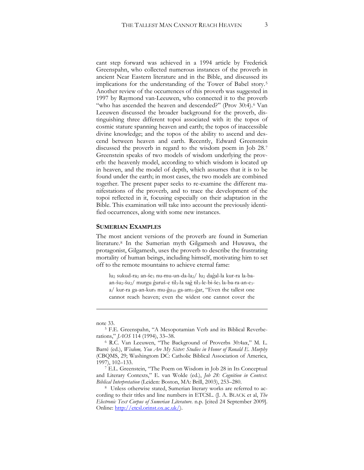cant step forward was achieved in a 1994 article by Frederick Greenspahn, who collected numerous instances of the proverb in ancient Near Eastern literature and in the Bible, and discussed its implications for the understanding of the Tower of Babel story.[5](#page-2-0) Another review of the occurrences of this proverb was suggested in 1997 by Raymond van-Leeuwen, who connected it to the proverb "who has ascended the heaven and descended?" (Prov 30:4).<sup>[6](#page-2-1)</sup> Van Leeuwen discussed the broader background for the proverb, distinguishing three different topoi associated with it: the topos of cosmic stature spanning heaven and earth; the topos of inaccessible divine knowledge; and the topos of the ability to ascend and descend between heaven and earth. Recently, Edward Greenstein discussed the proverb in regard to the wisdom poem in Job 28.[7](#page-2-2) Greenstein speaks of two models of wisdom underlying the proverb: the heavenly model, according to which wisdom is located up in heaven, and the model of depth, which assumes that it is to be found under the earth; in most cases, the two models are combined together. The present paper seeks to re-examine the different manifestations of the proverb, and to trace the development of the topoi reflected in it, focusing especially on their adaptation in the Bible. This examination will take into account the previously identified occurrences, along with some new instances.

#### **SUMERIAN EXAMPLES**

The most ancient versions of the proverb are found in Sumerian literature.[8](#page-2-3) In the Sumerian myth Gilgamesh and Huwawa, the protagonist, Gilgamesh, uses the proverb to describe the frustrating mortality of human beings, including himself, motivating him to set off to the remote mountains to achieve eternal fame:

lu2 sukud-ra2 an-še3 nu-mu-un-da-la2/ lu2 daĝal-la kur-ra la-baan-šu<sub>2</sub>-šu<sub>2</sub>/ murgu ĝuruš-e til<sub>3</sub>-la saĝ til<sub>3</sub>-le-bi-še<sub>3</sub> la-ba-ra-an-e<sub>3</sub> $a/$  kur-ra ga-an-kur $_9$  mu-ĝu<sub>10</sub> ga-am<sub>3</sub>-ĝar, "Even the tallest one cannot reach heaven; even the widest one cannot cover the

<u>.</u>

<span id="page-2-0"></span>

note 33. 5 F.E. Greenspahn, "A Mesopotamian Verb and its Biblical Reverberations," *JAOS* 114 (1994), 33–38.

<span id="page-2-1"></span><sup>&</sup>lt;sup>6</sup> R.C. Van Leeuwen, "The Background of Proverbs 30:4aa," M. L. Barré (ed.), *Wisdom, You Are My Sister: Studies in Honor of Ronald E. Murphy* (CBQMS, 29; Washingtom DC: Catholic Biblical Association of America, 1997), 102–133.

<span id="page-2-2"></span><sup>7</sup> E.L. Greenstein, "The Poem on Wisdom in Job 28 in Its Conceptual and Literary Contexts," E. van Wolde (ed.), *Job 28: Cognition in Context. Biblical Interpretation* (Leiden: Boston, MA: Brill, 2003), 253–280.

<span id="page-2-3"></span><sup>8</sup> Unless otherwise stated, Sumerian literary works are referred to according to their titles and line numbers in ETCSL. (J. A. BLACK et al, *The Electronic Text Corpus of Sumerian Literature*. n.p. [cited 24 September 2009]. Online: http://etcsl.orinst.ox.ac.uk/).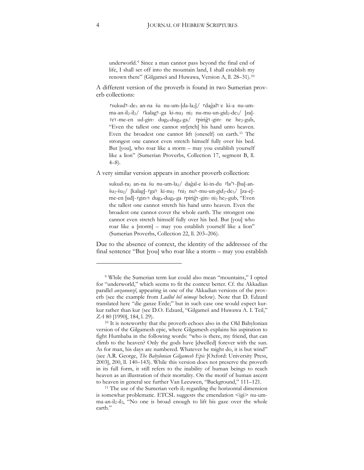underworld.[9](#page-3-0) Since a man cannot pass beyond the final end of life, I shall set off into the mountain land, I shall establish my renown there" (Gilgameš and Huwawa, Version A, ll. 28–31).[10](#page-3-1)

A different version of the proverb is found in two Sumerian proverb collections:

rsukudī-de3 an-na šu nu-um-[da-la2]/ rdaĝalī e ki-a nu-umma-an-il2-il2/ Ɉkalagɉ-ga ki-nu2 ni2 nu-mu-un-gid2-de3/ [za] ren-me-en ud-gin<sub>7</sub> dug<sub>4</sub>-dug<sub>4</sub>-ga/ rpiriĝn-gin<sub>7</sub> ne he<sub>2</sub>-gub, "Even the tallest one cannot str[etch] his hand unto heaven. Even the broadest one cannot lift (oneself) on earth.[11](#page-3-2) The strongest one cannot even stretch himself fully over his bed. But [you], who roar like a storm – may you establish yourself like a lion" (Sumerian Proverbs, Collection 17, segment B, ll. 4–8).

A very similar version appears in another proverb collection:

sukud-ra<sub>2</sub> an-na šu nu-um-la<sub>2</sub>/ daĝal-e ki-in-du rla<sup>2</sup>1-[ba]-an- $\frac{\xi u_2 - \xi u_2}{\xi u_2 - \xi u_2}$  [kalag]- rga $\frac{\xi u_2 - \xi u_2}{\xi u_2 - \xi u_2}$  [za-e]me-en [ud]- rgin71 dug<sub>4</sub>-dug<sub>4</sub>-ga rpiriĝ1-gin7 ni<sub>2</sub> he<sub>2</sub>-gub, "Even the tallest one cannot stretch his hand unto heaven. Even the broadest one cannot cover the whole earth. The strongest one cannot even stretch himself fully over his bed. But [you] who roar like a [storm] – may you establish yourself like a lion" (Sumerian Proverbs, Collection 22, ll. 203–206).

Due to the absence of context, the identity of the addressee of the final sentence "But [you] who roar like a storm – may you establish

<span id="page-3-0"></span><sup>9</sup> While the Sumerian term kur could also mean "mountains," I opted for "underworld," which seems to fit the context better. Cf. the Akkadian parallel *anzanunzê*, appearing in one of the Akkadian versions of the proverb (see the example from *Ludlul bēl nēmeqi* below). Note that D. Edzard translated here "die ganze Erde;" but in such case one would expect kurkur rather than kur (see D.O. Edzard, "Gilgameš and Huwawa A. I. Teil," *ZA* 80 [1990], 184, l. 29).

<span id="page-3-1"></span><sup>&</sup>lt;sup>10</sup> It is noteworthy that the proverb echoes also in the Old Babylonian version of the Gilgamesh epic, where Gilgamesh explains his aspiration to fight Humbaba in the following words: "who is there, my friend, that can climb to the heaven? Only the gods have [dwelled] forever with the sun. As for man, his days are numbered. Whatever he might do, it is but wind" (see A.R. George, *The Babylonian Gilgamesh Epic* [Oxford: University Press, 2003], 200, ll. 140–143). While this version does not preserve the proverb in its full form, it still refers to the inability of human beings to reach heaven as an illustration of their mortality. On the motif of human ascent to heaven in general see further Van Leeuwen, "Background," 111–121.

<span id="page-3-2"></span> $11$  The use of the Sumerian verb il<sub>2</sub> regarding the horizontal dimension is somewhat problematic. ETCSL suggests the emendation  $\leq$ igi> nu-umma-an-il2-il2, "No one is broad enough to lift his gaze over the whole earth."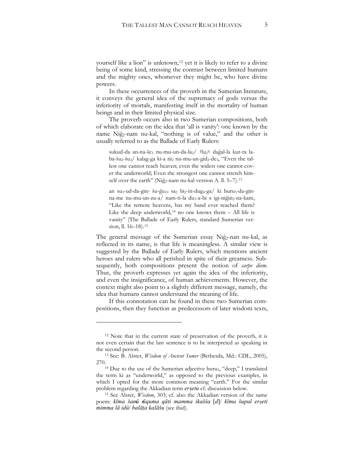yourself like a lion" is unknown,<sup>[12](#page-4-0)</sup> yet it is likely to refer to a divine being of some kind, stressing the contrast between limited humans and the mighty ones, whomever they might be, who have divine powers.

In these occurrences of the proverb in the Sumerian literature, it conveys the general idea of the supremacy of gods versus the inferiority of mortals, manifesting itself in the mortality of human beings and in their limited physical size.

The proverb occurs also in two Sumerian compositions, both of which elaborate on the idea that 'all is vanity': one known by the name Niĝ2-nam nu-kal, "nothing is of value," and the other is usually referred to as the Ballade of Early Rulers:

sukud-da an-na-še3 nu-mu-un-da-la2/ 「lu2」 daĝal-la kur-ra laba-šu<sub>2</sub>-šu<sub>2</sub>/ kalag-ga ki-a ni<sub>2</sub> nu-mu-un-gid<sub>2</sub>-de<sub>3</sub>, "Even the tallest one cannot reach heaven; even the widest one cannot cover the underworld; Even the strongest one cannot stretch him-self over the earth" (Niĝ<sub>2</sub>-nam nu-kal version A. ll. 5–7).<sup>[13](#page-4-1)</sup>

an su<sub>3</sub>-ud-da-gin<sub>7</sub> šu-ĝu<sub>10</sub> sa<sub>2</sub> bi<sub>2</sub>-in-dug<sub>4</sub>-ga/ ki buru<sub>3</sub>-da-gin<sub>7</sub> na-me nu-mu-un-zu-a/ nam-ti-la du<sub>3</sub>-a-bi x igi-niĝin<sub>2</sub>-na-kam, "Like the remote heavens, has my hand ever reached them? Like the deep underworld,<sup>[14](#page-4-2)</sup> no one knows them  $-$  All life is vanity" (The Ballade of Early Rulers, standard Sumerian ver-sion, ll. 16–18).<sup>[15](#page-4-3)</sup>

The general message of the Sumerian essay Niĝ2-nan nu-kal, as reflected in its name, is that life is meaningless. A similar view is suggested by the Ballade of Early Rulers, which mentions ancient heroes and rulers who all perished in spite of their greatness. Subsequently, both compositions present the notion of *carpe diem*. Thus, the proverb expresses yet again the idea of the inferiority, and even the insignificance, of human achievements. However, the context might also point to a slightly different message, namely, the idea that humans cannot understand the meaning of life.

If this connotation can be found in these two Sumerian compositions, then they function as predecessors of later wisdom texts,

<span id="page-4-0"></span><sup>&</sup>lt;sup>12</sup> Note that in the current state of preservation of the proverb, it is not even certain that the last sentence is to be interpreted as speaking in the second person.

<span id="page-4-1"></span><sup>13</sup> See: B. Alster, *Wisdom of Ancient Sumer* (Bethesda, Md.: CDL, 2005), 270.<br><sup>14</sup> Due to the use of the Sumerian adjective buru<sub>3</sub>, "deep," I translated

<span id="page-4-2"></span>the term ki as "underworld," as opposed to the previous examples, in which I opted for the more common meaning "earth." For the similar problem regarding the Akkadian term *ersetu* cf. discussion below.

<span id="page-4-3"></span><sup>&</sup>lt;sup>15</sup> See Alster, *Wisdom*, 303; cf. also the Akkadian version of the same poem: kīma šamî nīquma qāti mamma ikašša [d]/ kīma šupul erseti  $mimma$  *lā idû/ balāța kalāšu* (see ibid).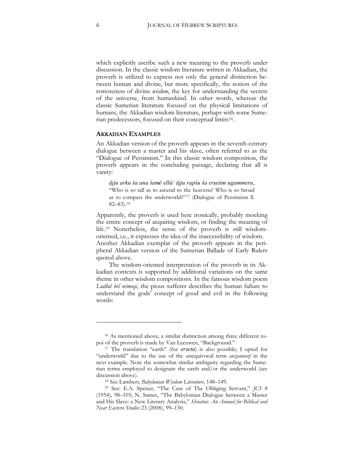which explicitly ascribe such a new meaning to the proverb under discussion. In the classic wisdom literature written in Akkadian, the proverb is utilized to express not only the general distinction between human and divine, but more specifically, the notion of the remoteness of divine *wisdom*, the key for understanding the secrets of the universe, from humankind. In other words, whereas the classic Sumerian literature focused on the physical limitations of humans, the Akkadian wisdom literature, perhaps with some Sumerian predecessors, focused on their conceptual limits[16](#page-5-0).

#### **AKKADIAN EXAMPLES**

An Akkadian version of the proverb appears in the seventh-century dialogue between a master and his slave, often referred to as the "Dialogue of Pessimism." In this classic wisdom composition, the proverb appears in the concluding passage, declaring that all is vanity:

ājju arku ša ana šamê ellû/ ājju rapšu ša ersetim ugammeru, "Who is so tall as to ascend to the heavens? Who is so broad as to compass the underworld?"[17](#page-5-1) (Dialogue of Pessimism ll. 82–83).[18](#page-5-2)

Apparently, the proverb is used here ironically, probably mocking the entire concept of acquiring wisdom, or finding the meaning of life.[19](#page-5-3) Nonetheless, the sense of the proverb is still wisdomoriented, i.e., it expresses the idea of the inaccessibility of wisdom. Another Akkadian exemplar of the proverb appears in the peripheral Akkadian version of the Sumerian Ballade of Early Rulers quoted above.

The wisdom-oriented interpretation of the proverb in its Akkadian contexts is supported by additional variations on the same theme in other wisdom compositions. In the famous wisdom poem *Ludlul bel nemeqi*, the pious sufferer describes the human failure to understand the gods' concept of good and evil in the following words:

<span id="page-5-0"></span><sup>16</sup> As mentioned above, a similar distinction among three different topoi of the proverb is made by Van Leeuwen, "Background." 17 The translation "earth" (for *ersetu*) is also possible; I opted for

<span id="page-5-1"></span><sup>&</sup>quot;underworld" due to the use of the unequivocal term *anzanunzê* in the next example. Note the somewhat similar ambiguity regarding the Sumerian terms employed to designate the earth and/or the underworld (see discussion above).

<sup>18</sup> See Lambert, *Babylonian Wisdom Literature*, 148–149.

<span id="page-5-3"></span><span id="page-5-2"></span><sup>19</sup> See: E.A. Speiser, "The Case of The Obliging Servant," *JCS* 8 (1954), 98-105; N. Samet, "The Babylonian Dialogue between a Master and His Slave: a New Literary Analysis," *Shnaton: An Annual for Biblical and Near Eastern Studies* 23 (2008), 99–130.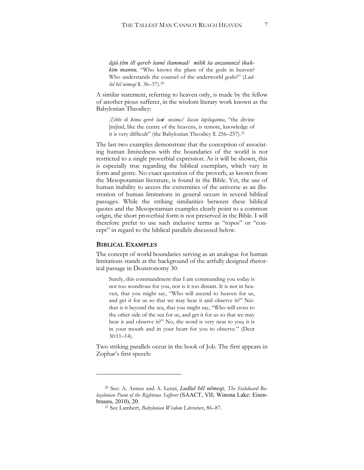*ÁMM»ˍÓPLOëTHUHE ġDPªLODPPDGPLOLN ġDDQ]DQXQ]ªLKDk& kim mannu*, "Who knows the plans of the gods in heaven? Who understands the counsel of the underworld gods?" (*Ludlul bēl nēmeqi* ll. 36–37).<sup>[20](#page-6-0)</sup>

A similar statement, referring to heaven only, is made by the fellow of another pious sufferer, in the wisdom literary work known as the Babylonian Theodicy:

*[l]ibbi ili kīma qereb šani nesīma/ lēassu šupšugatma*, "the divine [m]ind, like the centre of the heavens, is remote, knowledge of it is very difficult" (the Babylonian Theodicy ll. 256-257).<sup>[21](#page-6-1)</sup>

The last two examples demonstrate that the conception of associating human limitedness with the boundaries of the world is not restricted to a single proverbial expression. As it will be shown, this is especially true regarding the biblical exemplars, which vary in form and genre. No exact quotation of the proverb, as known from the Mesopotamian literature, is found in the Bible. Yet, the use of human inability to access the extremities of the universe as an illustration of human limitations in general occurs in several biblical passages. While the striking similarities between these biblical quotes and the Mesopotamian examples clearly point to a common origin, the short proverbial form is not preserved in the Bible. I will therefore prefer to use such inclusive terms as "topos" or "concept" in regard to the biblical parallels discussed below.

### **BIBLICAL EXAMPLES**

 $\ddot{\phantom{a}}$ 

The concept of world boundaries serving as an analogue for human limitations stands at the background of the artfully designed rhetorical passage in Deuteronomy 30:

Surely, this commandment that I am commanding you today is not too wondrous for you, nor is it too distant. It is not in heaven, that you might say, "Who will ascend to heaven for us, and get it for us so that we may hear it and observe it?" Neither is it beyond the sea, that you might say, "Who will cross to the other side of the sea for us, and get it for us so that we may hear it and observe it?" No, the word is very near to you; it is in your mouth and in your heart for you to observe." (Deut 30:11–14).

Two striking parallels occur in the book of Job. The first appears in Zophar's first speech:

<span id="page-6-1"></span><span id="page-6-0"></span><sup>&</sup>lt;sup>20</sup> See: A. Annus and A. Lenzi, *Ludlul bēl nēmeqi*, *The Stabdnard Babaylonian Poem of the Righteous Sufferer* (SAACT, VII; Winona Lake: Eisenbrauns, 2010), 20.

<sup>21</sup> See Lambert, *Babylonian Wisdom Literature*, 86–87.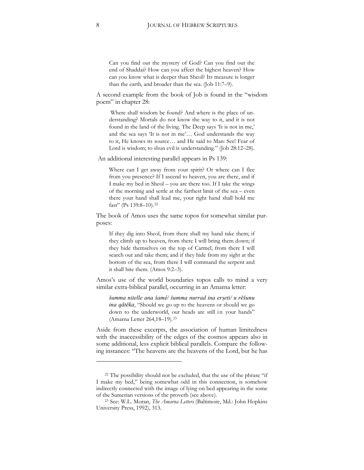Can you find out the mystery of God? Can you find out the end of Shaddai? How can you affect the highest heaven? How can you know what is deeper than Sheol? Its measure is longer than the earth, and broader than the sea. (Job 11:7–9).

A second example from the book of Job is found in the "wisdom poem" in chapter 28:

Where shall wisdom be found? And where is the place of understanding? Mortals do not know the way to it, and it is not found in the land of the living. The Deep says 'It is not in me,' and the sea says 'It is not in me'… God understands the way to it, He knows its source… and He said to Man: See! Fear of Lord is wisdom; to shun evil is understanding." (Job 28:12–28).

An additional interesting parallel appears in Ps 139:

Where can I get away from your spirit? Or where can I flee from you presence? If I ascend to heaven, you are there, and if I make my bed in Sheol – you are there too. If I take the wings of the morning and settle at the farthest limit of the sea – even there your hand shall lead me, your right hand shall hold me fast" (Ps 139:8-10).<sup>[22](#page-7-0)</sup>

The book of Amos uses the same topos for somewhat similar purposes:

If they dig into Sheol, from there shall my hand take them; if they climb up to heaven, from there I will bring them down; if they hide themselves on the top of Carmel, from there I will search out and take them; and if they hide from my sight at the bottom of the sea, from there I will command the serpent and it shall bite them. (Amos 9:2–3).

Amos's use of the world boundaries topos calls to mind a very similar extra-biblical parallel, occurring in an Amarna letter:

*ġXPPDQLWHOOHDQDġDPªġXPPDQXUUDGLQD erˋeWL X UÓġXQX ina qātēka*, "Should we go up to the heavens or should we go down to the underworld, our heads are still in your hands" (Amarna Letter 264,18–19).[23](#page-7-1)

Aside from these excerpts, the association of human limitedness with the inaccessibility of the edges of the cosmos appears also in some additional, less explicit biblical parallels. Compare the following instances: "The heavens are the heavens of the Lord, but he has

<span id="page-7-0"></span><sup>&</sup>lt;sup>22</sup> The possibility should not be excluded, that the use of the phrase "if I make my bed," being somewhat odd in this connection, is somehow indirectly connected with the image of lying on bed appearing in the some of the Sumerian versions of the proverb (see above). 23 See: W.L. Moran, *The Amarna Letters* (Baltimore, Md.: John Hopkins

<span id="page-7-1"></span>University Press, 1992), 313.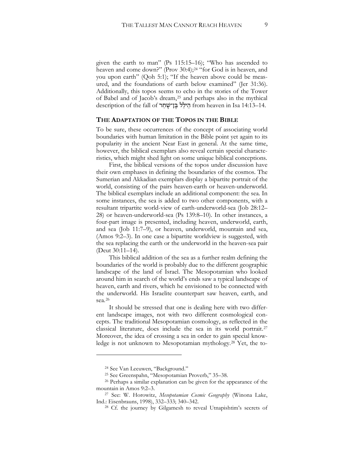given the earth to man" (Ps  $115:15-16$ ); "Who has ascended to heaven and come down?" (Prov 30:4);<sup>[24](#page-8-0)</sup> "for God is in heaven, and you upon earth" (Qoh 5:1); "If the heaven above could be measured, and the foundations of earth below examined" (Jer 31:36). Additionally, this topos seems to echo in the stories of the Tower of Babel and of Jacob's dream,[25](#page-8-1) and perhaps also in the mythical description of the fall of הֵילֵל בֵּן־שַׁחַר from heaven in Isa 14:13–14.

#### **THE ADAPTATION OF THE TOPOS IN THE BIBLE**

To be sure, these occurrences of the concept of associating world boundaries with human limitation in the Bible point yet again to its popularity in the ancient Near East in general. At the same time, however, the biblical exemplars also reveal certain special characteristics, which might shed light on some unique biblical conceptions.

First, the biblical versions of the topos under discussion have their own emphases in defining the boundaries of the cosmos. The Sumerian and Akkadian exemplars display a bipartite portrait of the world, consisting of the pairs heaven-earth or heaven-underworld. The biblical exemplars include an additional component: the sea. In some instances, the sea is added to two other components, with a resultant tripartite world-view of earth-underworld-sea (Job 28:12– 28) or heaven-underworld-sea (Ps 139:8–10). In other instances, a four-part image is presented, including heaven, underworld, earth, and sea (Job 11:7–9), or heaven, underworld, mountain and sea, (Amos 9:2–3). In one case a bipartite worldview is suggested, with the sea replacing the earth or the underworld in the heaven-sea pair (Deut 30:11–14).

This biblical addition of the sea as a further realm defining the boundaries of the world is probably due to the different geographic landscape of the land of Israel. The Mesopotamian who looked around him in search of the world's ends saw a typical landscape of heaven, earth and rivers, which he envisioned to be connected with the underworld. His Israelite counterpart saw heaven, earth, and sea.[26](#page-8-2)

It should be stressed that one is dealing here with two different landscape images, not with two different cosmological concepts. The traditional Mesopotamian cosmology, as reflected in the classical literature, does include the sea in its world portrait.[27](#page-8-3) Moreover, the idea of crossing a sea in order to gain special knowledge is not unknown to Mesopotamian mythology.[28](#page-8-4) Yet, the to-

 $\ddot{\phantom{a}}$ 

<sup>24</sup> See Van Leeuwen, "Background."

<span id="page-8-2"></span><span id="page-8-1"></span><span id="page-8-0"></span><sup>&</sup>lt;sup>25</sup> See Greenspahn, "Mesopotamian Proverb,"  $35-38$ .<br><sup>26</sup> Perhaps a similar explanation can be given for the appearance of the mountain in Amos 9:2–3. 27 See: W. Horowitz, *Mesopotamian Cosmic Geography* (Winona Lake,

<span id="page-8-4"></span><span id="page-8-3"></span>Ind.: Eisenbrauns, 1998), 332-333; 340-342.

<sup>28</sup> Cf. the journey by Gilgamesh to reveal Utnapishtim's secrets of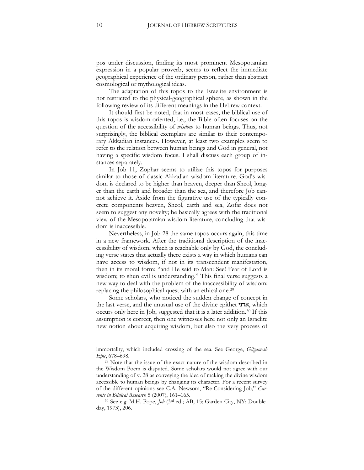pos under discussion, finding its most prominent Mesopotamian expression in a popular proverb, seems to reflect the immediate geographical experience of the ordinary person, rather than abstract cosmological or mythological ideas.

The adaptation of this topos to the Israelite environment is not restricted to the physical-geographical sphere, as shown in the following review of its different meanings in the Hebrew context.

It should first be noted, that in most cases, the biblical use of this topos is wisdom-oriented, i.e., the Bible often focuses on the question of the accessibility of *wisdom* to human beings. Thus, not surprisingly, the biblical exemplars are similar to their contemporary Akkadian instances. However, at least two examples seem to refer to the relation between human beings and God in general, not having a specific wisdom focus. I shall discuss each group of instances separately.

In Job 11, Zophar seems to utilize this topos for purposes similar to those of classic Akkadian wisdom literature. God's wisdom is declared to be higher than heaven, deeper than Sheol, longer than the earth and broader than the sea, and therefore Job cannot achieve it. Aside from the figurative use of the typically concrete components heaven, Sheol, earth and sea, Zofar does not seem to suggest any novelty; he basically agrees with the traditional view of the Mesopotamian wisdom literature, concluding that wisdom is inaccessible.

Nevertheless, in Job 28 the same topos occurs again, this time in a new framework. After the traditional description of the inaccessibility of wisdom, which is reachable only by God, the concluding verse states that actually there exists a way in which humans can have access to wisdom, if not in its transcendent manifestation, then in its moral form: "and He said to Man: See! Fear of Lord is wisdom; to shun evil is understanding." This final verse suggests a new way to deal with the problem of the inaccessibility of wisdom: replacing the philosophical quest with an ethical one[.29](#page-9-0)

Some scholars, who noticed the sudden change of concept in the last verse, and the unusual use of the divine epithet  $\mathbf{x}$ , which occurs only here in Job, suggested that it is a later addition.[30](#page-9-1) If this assumption is correct, then one witnesses here not only an Israelite new notion about acquiring wisdom, but also the very process of

-

immortality, which included crossing of the sea. See George, *Gilgamesh Epic*, 678–698.

<span id="page-9-0"></span><sup>&</sup>lt;sup>29</sup> Note that the issue of the exact nature of the wisdom described in the Wisdom Poem is disputed. Some scholars would not agree with our understanding of v. 28 as conveying the idea of making the divine wisdom accessible to human beings by changing its character. For a recent survey of the different opinions see C.A. Newsom, "Re-Considering Job," *Currents in Biblical Research* 5 (2007), 161–165.

<span id="page-9-1"></span><sup>&</sup>lt;sup>30</sup> See e.g. M.H. Pope, *Job* (3<sup>rd</sup> ed.; AB, 15; Garden City, NY: Doubleday, 1973), 206.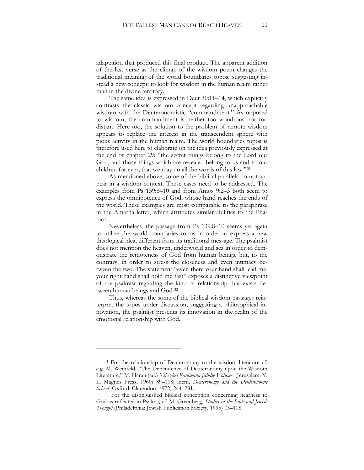adaptation that produced this final product. The apparent addition of the last verse as the climax of the wisdom poem changes the traditional meaning of the world boundaries topos, suggesting instead a new concept: to look for wisdom in the human realm rather than in the divine territory.

The same idea is expressed in Deut 30:11–14, which explicitly contrasts the classic wisdom concept regarding unapproachable wisdom with the Deuteronomistic "commandment." As opposed to wisdom, the commandment is neither too wondrous nor too distant. Here too, the solution to the problem of remote wisdom appears to replace the interest in the transcendent sphere with pious activity in the human realm. The world boundaries topos is therefore used here to elaborate on the idea previously expressed at the end of chapter 29: "the secret things belong to the Lord our God, and those things which are revealed belong to us and to our children for ever, that we may do all the words of this law."[31](#page-10-0)

As mentioned above, some of the biblical parallels do not appear in a wisdom context. These cases need to be addressed. The examples from Ps 139:8–10 and from Amos 9:2–3 both seem to express the omnipotence of God, whose hand reaches the ends of the world. These examples are most comparable to the paraphrase in the Amarna letter, which attributes similar abilities to the Pharaoh.

Nevertheless, the passage from Ps 139:8–10 seems yet again to utilize the world boundaries topos in order to express a new theological idea, different from its traditional message. The psalmist does not mention the heaven, underworld and sea in order to demonstrate the remoteness of God from human beings, but, to the contrary, in order to stress the closeness and even intimacy between the two. The statement "even there your hand shall lead me, your right hand shall hold me fast" exposes a distinctive viewpoint of the psalmist regarding the kind of relationship that exists between human beings and God.[32](#page-10-1)

Thus, whereas the some of the biblical wisdom passages reinterpret the topos under discussion, suggesting a philosophical innovation, the psalmist presents its innovation in the realm of the emotional relationship with God.

<span id="page-10-0"></span><sup>&</sup>lt;sup>31</sup> For the relationship of Deuteronomy to the wisdom literature cf. e.g. M. Weinfeld, "The Dependence of Deuteronomy upon the Wisdom Literature," M. Haran (ed.) *Yehezkel Kaufmann Jubilee Volume* (Jerusalem: Y. L. Magnes Press, 1960) 89–108; idem, *Deuteronomy and the Deuteronomic School* (Oxford: Clarendon, 1972) 244–281.

<span id="page-10-1"></span><sup>&</sup>lt;sup>32</sup> For the distinguished biblical conception concerning nearness to God as reflected in Psalms, cf. M. Greenberg, *Studies in the Bible and Jewish Thought* (Philadelphia: Jewish Publication Society, 1995) 75–108.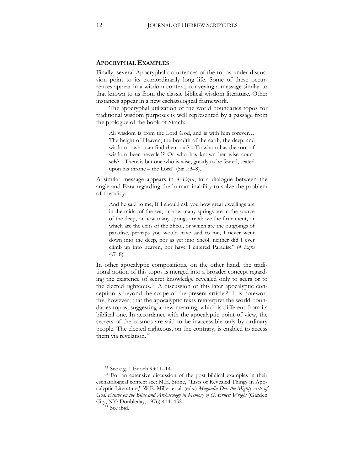#### **APOCRYPHAL EXAMPLES**

Finally, several Apocryphal occurrences of the topos under discussion point to its extraordinarily long life. Some of these occurrences appear in a wisdom context, conveying a message similar to that known to us from the classic biblical wisdom literature. Other instances appear in a new eschatological framework.

The apocryphal utilization of the world boundaries topos for traditional wisdom purposes is well represented by a passage from the prologue of the book of Sirach:

All wisdom is from the Lord God, and is with him forever… The height of Heaven, the breadth of the earth, the deep, and wisdom – who can find them out?... To whom has the root of wisdom been revealed? Or who has known her wise counsels?... There is but one who is wise, greatly to be feared, seated upon his throne – the Lord" (Sir 1:3–8).

A similar message appears in *4 Ezra*, in a dialogue between the angle and Ezra regarding the human inability to solve the problem of theodicy:

And he said to me, If I should ask you how great dwellings are in the midst of the sea, or how many springs are in the source of the deep, or how many springs are above the firmament, or which are the exits of the Sheol, or which are the outgoings of paradise, perhaps you would have said to me, I never went down into the deep, nor as yet into Sheol, neither did I ever climb up into heaven, nor have I entered Paradise" (*4 Ezra* 4:7–8).

In other apocalyptic compositions, on the other hand, the traditional notion of this topos is merged into a broader concept regarding the existence of secret knowledge revealed only to seers or to the elected righteous.[33](#page-11-0) A discussion of this later apocalyptic conception is beyond the scope of the present article.[34](#page-11-1) It is noteworthy, however, that the apocalyptic texts reinterpret the world boundaries topos, suggesting a new meaning, which is different from its biblical one. In accordance with the apocalyptic point of view, the secrets of the cosmos are said to be inaccessible only by ordinary people. The elected righteous, on the contrary, is enabled to access them via revelation.[35](#page-11-2) 

 $\ddot{\phantom{a}}$ 

<sup>33</sup> See e.g. 1 Enoch 93:11–14.

<span id="page-11-2"></span><span id="page-11-1"></span><span id="page-11-0"></span><sup>&</sup>lt;sup>34</sup> For an extensive discussion of the post biblical examples in their eschatological context see: M.E. Stone, "Lists of Revealed Things in Apocalyptic Literature," W.E. Miller et al. (eds.) *Magnalia Dei: the Mighty Acts of God. Essays on the Bible and Archaeology in Memory of G. Ernest Wright* (Garden City, NY: Doubleday, 1976) 414–452.

<sup>35</sup> See ibid.